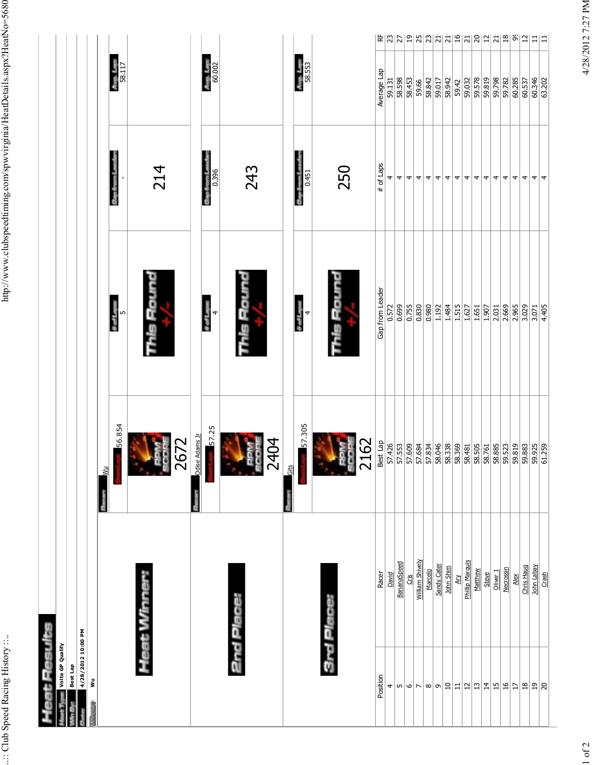| at Results             |                            |                                                                                                             |                                     |                            |                                            |
|------------------------|----------------------------|-------------------------------------------------------------------------------------------------------------|-------------------------------------|----------------------------|--------------------------------------------|
| Volta GP Qualify       |                            |                                                                                                             |                                     |                            |                                            |
| Best Lap               |                            |                                                                                                             |                                     |                            |                                            |
| 4/28/2012 10:00 PM     |                            |                                                                                                             |                                     |                            |                                            |
| š                      |                            | $\frac{1}{2}$                                                                                               |                                     |                            |                                            |
|                        |                            | 56.854                                                                                                      | # of Laps:                          | Gap from L                 | $\frac{1}{58.117}$                         |
|                        |                            |                                                                                                             | ∣n                                  |                            |                                            |
|                        | Heat Winne                 |                                                                                                             |                                     |                            |                                            |
|                        |                            |                                                                                                             | tis Rounc                           | 214                        |                                            |
|                        |                            | go.                                                                                                         |                                     |                            |                                            |
|                        |                            | 2672                                                                                                        |                                     |                            |                                            |
|                        |                            | Odise Adams Jr                                                                                              |                                     |                            |                                            |
|                        |                            | 57.25                                                                                                       | $\frac{\text{if } \text{Lipac}}{4}$ | 0.396<br>Cinp fr           | $A = 1.78$                                 |
|                        |                            |                                                                                                             |                                     |                            |                                            |
|                        |                            |                                                                                                             |                                     |                            |                                            |
|                        |                            |                                                                                                             |                                     |                            |                                            |
|                        |                            | å<br>ă                                                                                                      |                                     | 243                        |                                            |
|                        |                            |                                                                                                             |                                     |                            |                                            |
|                        |                            | 2404                                                                                                        |                                     |                            |                                            |
|                        |                            | <u>Gits</u>                                                                                                 |                                     |                            |                                            |
|                        |                            | 57.305                                                                                                      | # of Lapse<br>4                     | 0.451<br><b>Gap from L</b> | Ave. Lee:<br>58.553                        |
|                        |                            |                                                                                                             |                                     |                            |                                            |
|                        |                            |                                                                                                             |                                     |                            |                                            |
|                        |                            |                                                                                                             |                                     | 250                        |                                            |
|                        |                            | ă                                                                                                           |                                     |                            |                                            |
|                        |                            | 2162                                                                                                        |                                     |                            |                                            |
| Position               | Racer                      | Best Lap                                                                                                    | Gap from Leader                     | # of Laps                  | Average Lap                                |
| 4                      | David                      | 57.426<br>57.553<br>57.609                                                                                  | 0.572                               | 4                          | 59.131                                     |
| 5                      | BananaSpeed                |                                                                                                             | 0.699                               | 4                          | 58.598                                     |
| $\circ$ $\sim$         | $\frac{1}{2}$              |                                                                                                             | 0.755                               | 4                          | 58.453                                     |
|                        | William Shively<br>Marcelo | 57.834                                                                                                      | 0.830<br>0.980                      | 4<br>4                     | 58.842<br>59.66                            |
| ത $ \sigma $           | Sandy Cater                | 58.046                                                                                                      | 1.192                               | 4                          | 59.017                                     |
| $\square$              | John Shim                  | 58.338                                                                                                      | 1.484                               | 4                          | 58.942                                     |
| $\Xi$                  | <b>Ary</b>                 |                                                                                                             | 1.515                               | 4                          | 59.42                                      |
| $\frac{1}{2}$          | <b>Phillip Marquis</b>     |                                                                                                             | 1.627                               | 4                          | 59.032                                     |
| $\overline{13}$        | Matthew                    | $\begin{array}{ l l } \hline 36.369 \\ \hline 38.481 \\ \hline 81.50 \\ \hline 81.81 \\ \hline \end{array}$ | 1.651                               | 4                          | 59.578                                     |
| $\frac{1}{4}$          | Steve                      |                                                                                                             | 1.907                               | 4                          | 59.819                                     |
| $\frac{15}{2}$         | Oliver <sub>1</sub>        | 58.885                                                                                                      | 2.031                               | 4                          | 59.798                                     |
| $\frac{6}{1}$          | <b>Necrossin</b>           | 59.523                                                                                                      | 2.669                               | 4                          | 59.782                                     |
| $\vert$ 17             | Alex                       | 59.819                                                                                                      | 2.965                               | 4                          | 60.285                                     |
| $\frac{8}{18}$         | Chris Haug                 | 59.883                                                                                                      | 3.029                               | 4                          | 60.537                                     |
| $\overline{1}9$<br> ္ဂ | John Labay                 | 59.925                                                                                                      | 3.071                               | 4                          | 눈 이어리아 이의의 이 이 이 이 이 이 이 이 미 그 그<br>60.346 |
|                        | Crash                      |                                                                                                             | 4.405                               | 4                          | 63.202                                     |
|                        |                            |                                                                                                             |                                     |                            |                                            |